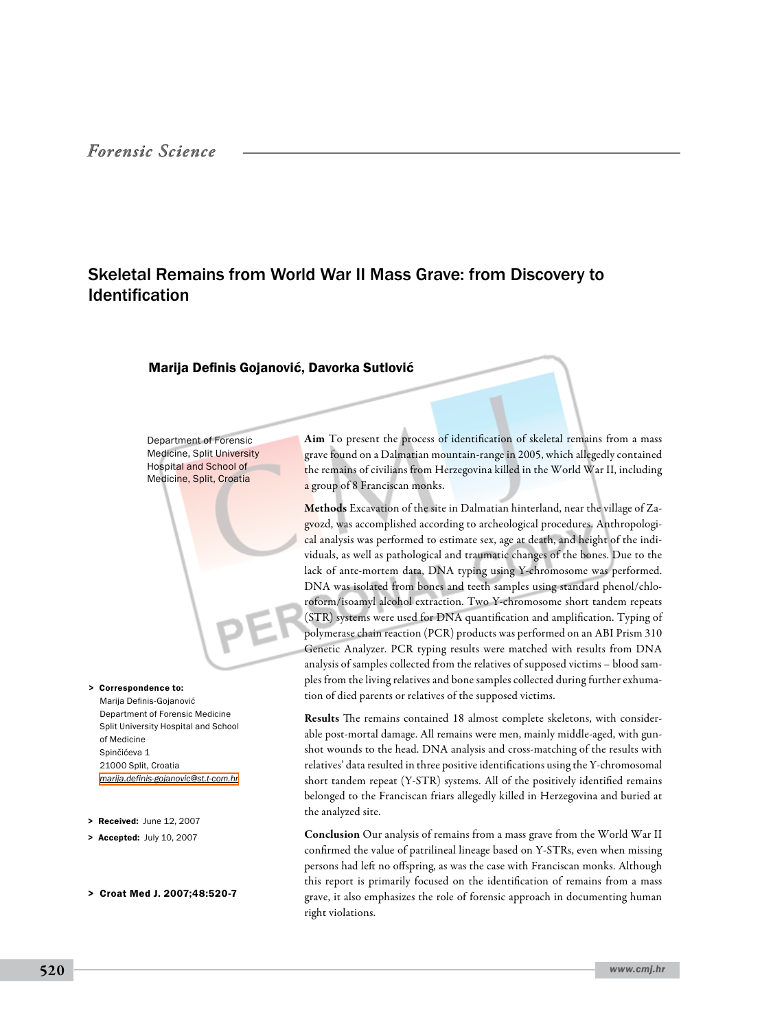# Skeletal Remains from World War II Mass Grave: from Discovery to Identification

#### Marija Definis Gojanović, Davorka Sutlović

Department of Forensic Medicine, Split University Hospital and School of Medicine, Split, Croatia

> Correspondence to: Marija Definis-Gojanović Department of Forensic Medicine Split University Hospital and School of Medicine Spinčićeva 1 21000 Split, Croatia *[marija.definis-gojanovic@st.t-com.hr](mailto: marija.definis-gojanovic@st.t-com.hr )*

- > Received: June 12, 2007
- > Accepted: July 10, 2007
- > Croat Med J. 2007;48:520-7

Aim To present the process of identification of skeletal remains from a mass grave found on a Dalmatian mountain-range in 2005, which allegedly contained the remains of civilians from Herzegovina killed in the World War II, including a group of 8 Franciscan monks.

Methods Excavation of the site in Dalmatian hinterland, near the village of Zagvozd, was accomplished according to archeological procedures. Anthropological analysis was performed to estimate sex, age at death, and height of the individuals, as well as pathological and traumatic changes of the bones. Due to the lack of ante-mortem data, DNA typing using Y-chromosome was performed. DNA was isolated from bones and teeth samples using standard phenol/chloroform/isoamyl alcohol extraction. Two Y-chromosome short tandem repeats (STR) systems were used for DNA quantification and amplification. Typing of polymerase chain reaction (PCR) products was performed on an ABI Prism 310 Genetic Analyzer. PCR typing results were matched with results from DNA analysis of samples collected from the relatives of supposed victims – blood samples from the living relatives and bone samples collected during further exhumation of died parents or relatives of the supposed victims.

Results The remains contained 18 almost complete skeletons, with considerable post-mortal damage. All remains were men, mainly middle-aged, with gunshot wounds to the head. DNA analysis and cross-matching of the results with relatives' data resulted in three positive identifications using the Y-chromosomal short tandem repeat (Y-STR) systems. All of the positively identified remains belonged to the Franciscan friars allegedly killed in Herzegovina and buried at the analyzed site.

Conclusion Our analysis of remains from a mass grave from the World War II confirmed the value of patrilineal lineage based on Y-STRs, even when missing persons had left no offspring, as was the case with Franciscan monks. Although this report is primarily focused on the identification of remains from a mass grave, it also emphasizes the role of forensic approach in documenting human right violations.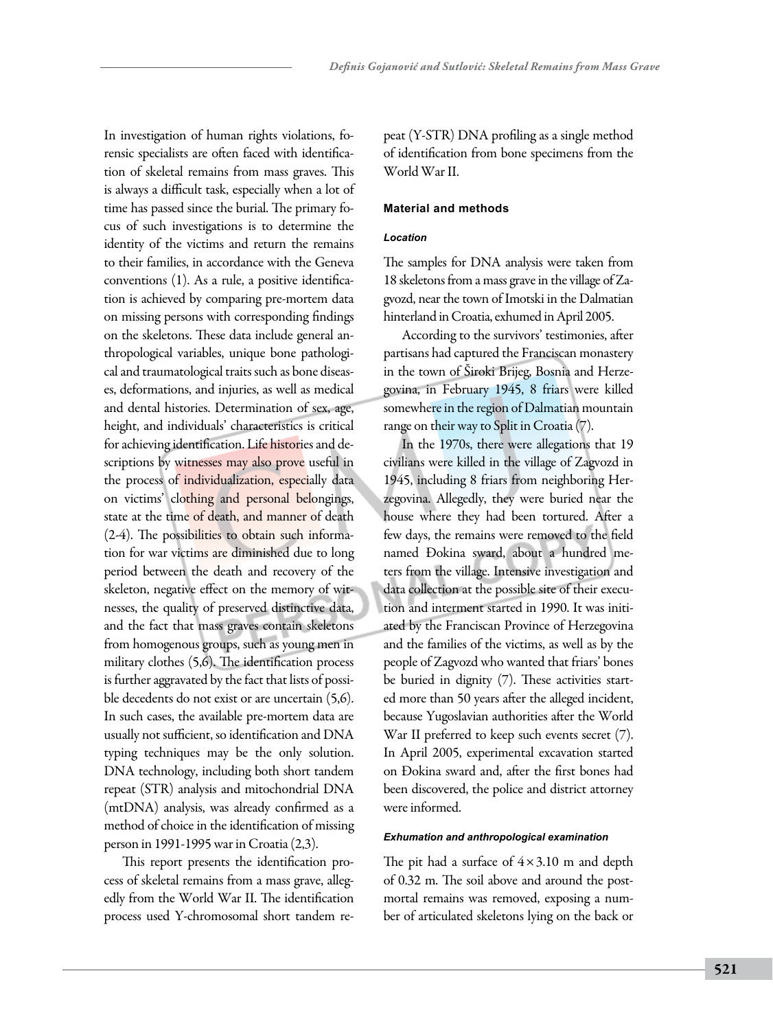In investigation of human rights violations, forensic specialists are often faced with identification of skeletal remains from mass graves. This is always a difficult task, especially when a lot of time has passed since the burial. The primary focus of such investigations is to determine the identity of the victims and return the remains to their families, in accordance with the Geneva conventions (1). As a rule, a positive identification is achieved by comparing pre-mortem data on missing persons with corresponding findings on the skeletons. These data include general anthropological variables, unique bone pathological and traumatological traits such as bone diseases, deformations, and injuries, as well as medical and dental histories. Determination of sex, age, height, and individuals' characteristics is critical for achieving identification. Life histories and descriptions by witnesses may also prove useful in the process of individualization, especially data on victims' clothing and personal belongings, state at the time of death, and manner of death (2-4). The possibilities to obtain such information for war victims are diminished due to long period between the death and recovery of the skeleton, negative effect on the memory of witnesses, the quality of preserved distinctive data, and the fact that mass graves contain skeletons from homogenous groups, such as young men in military clothes (5,6). The identification process is further aggravated by the fact that lists of possible decedents do not exist or are uncertain (5,6). In such cases, the available pre-mortem data are usually not sufficient, so identification and DNA typing techniques may be the only solution. DNA technology, including both short tandem repeat (STR) analysis and mitochondrial DNA (mtDNA) analysis, was already confirmed as a method of choice in the identification of missing person in 1991-1995 war in Croatia (2,3).

This report presents the identification process of skeletal remains from a mass grave, allegedly from the World War II. The identification process used Y-chromosomal short tandem repeat (Y-STR) DNA profiling as a single method of identification from bone specimens from the World War II.

#### **Material and methods**

#### *Location*

The samples for DNA analysis were taken from 18 skeletons from a mass grave in the village of Zagvozd, near the town of Imotski in the Dalmatian hinterland in Croatia, exhumed in April 2005.

According to the survivors' testimonies, after partisans had captured the Franciscan monastery in the town of Široki Brijeg, Bosnia and Herzegovina, in February 1945, 8 friars were killed somewhere in the region of Dalmatian mountain range on their way to Split in Croatia (7).

In the 1970s, there were allegations that 19 civilians were killed in the village of Zagvozd in 1945, including 8 friars from neighboring Herzegovina. Allegedly, they were buried near the house where they had been tortured. After a few days, the remains were removed to the field named Đokina sward, about a hundred meters from the village. Intensive investigation and data collection at the possible site of their execution and interment started in 1990. It was initiated by the Franciscan Province of Herzegovina and the families of the victims, as well as by the people of Zagvozd who wanted that friars' bones be buried in dignity (7). These activities started more than 50 years after the alleged incident, because Yugoslavian authorities after the World War II preferred to keep such events secret (7). In April 2005, experimental excavation started on Đokina sward and, after the first bones had been discovered, the police and district attorney were informed.

#### *Exhumation and anthropological examination*

The pit had a surface of  $4 \times 3.10$  m and depth of 0.32 m. The soil above and around the postmortal remains was removed, exposing a number of articulated skeletons lying on the back or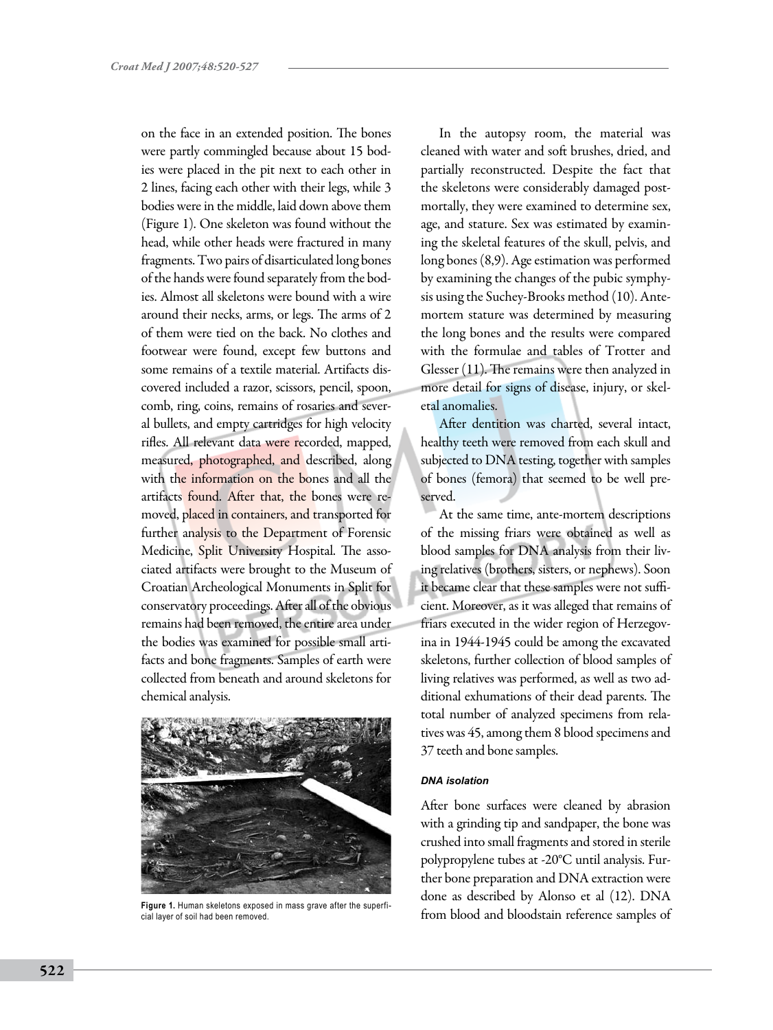on the face in an extended position. The bones were partly commingled because about 15 bodies were placed in the pit next to each other in 2 lines, facing each other with their legs, while 3 bodies were in the middle, laid down above them (Figure 1). One skeleton was found without the head, while other heads were fractured in many fragments. Two pairs of disarticulated long bones of the hands were found separately from the bodies. Almost all skeletons were bound with a wire around their necks, arms, or legs. The arms of 2 of them were tied on the back. No clothes and footwear were found, except few buttons and some remains of a textile material. Artifacts discovered included a razor, scissors, pencil, spoon, comb, ring, coins, remains of rosaries and several bullets, and empty cartridges for high velocity rifles. All relevant data were recorded, mapped, measured, photographed, and described, along with the information on the bones and all the artifacts found. After that, the bones were removed, placed in containers, and transported for further analysis to the Department of Forensic Medicine, Split University Hospital. The associated artifacts were brought to the Museum of Croatian Archeological Monuments in Split for conservatory proceedings. After all of the obvious remains had been removed, the entire area under the bodies was examined for possible small artifacts and bone fragments. Samples of earth were collected from beneath and around skeletons for chemical analysis.



cial layer of soil had been removed.

In the autopsy room, the material was cleaned with water and soft brushes, dried, and partially reconstructed. Despite the fact that the skeletons were considerably damaged postmortally, they were examined to determine sex, age, and stature. Sex was estimated by examining the skeletal features of the skull, pelvis, and long bones (8,9). Age estimation was performed by examining the changes of the pubic symphysis using the Suchey-Brooks method (10). Antemortem stature was determined by measuring the long bones and the results were compared with the formulae and tables of Trotter and Glesser (11). The remains were then analyzed in more detail for signs of disease, injury, or skeletal anomalies.

After dentition was charted, several intact, healthy teeth were removed from each skull and subjected to DNA testing, together with samples of bones (femora) that seemed to be well preserved.

At the same time, ante-mortem descriptions of the missing friars were obtained as well as blood samples for DNA analysis from their living relatives (brothers, sisters, or nephews). Soon it became clear that these samples were not sufficient. Moreover, as it was alleged that remains of friars executed in the wider region of Herzegovina in 1944-1945 could be among the excavated skeletons, further collection of blood samples of living relatives was performed, as well as two additional exhumations of their dead parents. The total number of analyzed specimens from relatives was 45, among them 8 blood specimens and 37 teeth and bone samples.

### *DNA isolation*

After bone surfaces were cleaned by abrasion with a grinding tip and sandpaper, the bone was crushed into small fragments and stored in sterile polypropylene tubes at -20°C until analysis. Further bone preparation and DNA extraction were done as described by Alonso et al (12). DNA Figure 1. Human skeletons exposed in mass grave after the superfi-<br>
From blood and bloodstain reference samples of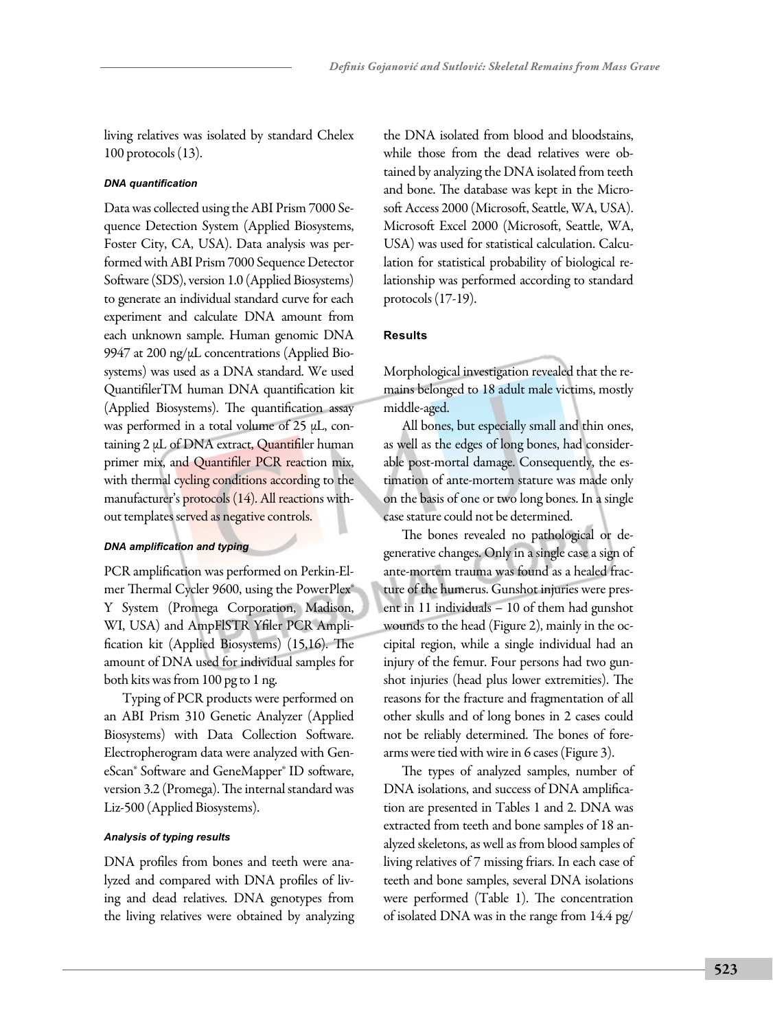living relatives was isolated by standard Chelex 100 protocols (13).

### *DNA quantification*

Data was collected using the ABI Prism 7000 Sequence Detection System (Applied Biosystems, Foster City, CA, USA). Data analysis was performed with ABI Prism 7000 Sequence Detector Software (SDS), version 1.0 (Applied Biosystems) to generate an individual standard curve for each experiment and calculate DNA amount from each unknown sample. Human genomic DNA 9947 at 200 ng/μL concentrations (Applied Biosystems) was used as a DNA standard. We used QuantifilerTM human DNA quantification kit (Applied Biosystems). The quantification assay was performed in a total volume of 25 μL, containing 2 μL of DNA extract, Quantifiler human primer mix, and Quantifiler PCR reaction mix, with thermal cycling conditions according to the manufacturer's protocols (14). All reactions without templates served as negative controls.

### *DNA amplification and typing*

PCR amplification was performed on Perkin-Elmer Thermal Cycler 9600, using the PowerPlex® Y System (Promega Corporation, Madison, WI, USA) and AmpFlSTR Yfiler PCR Amplification kit (Applied Biosystems) (15,16). The amount of DNA used for individual samples for both kits was from 100 pg to 1 ng.

Typing of PCR products were performed on an ABI Prism 310 Genetic Analyzer (Applied Biosystems) with Data Collection Software. Electropherogram data were analyzed with GeneScan® Software and GeneMapper® ID software, version 3.2 (Promega). The internal standard was Liz-500 (Applied Biosystems).

### *Analysis of typing results*

DNA profiles from bones and teeth were analyzed and compared with DNA profiles of living and dead relatives. DNA genotypes from the living relatives were obtained by analyzing the DNA isolated from blood and bloodstains, while those from the dead relatives were obtained by analyzing the DNA isolated from teeth and bone. The database was kept in the Microsoft Access 2000 (Microsoft, Seattle, WA, USA). Microsoft Excel 2000 (Microsoft, Seattle, WA, USA) was used for statistical calculation. Calculation for statistical probability of biological relationship was performed according to standard protocols (17-19).

## **Results**

Morphological investigation revealed that the remains belonged to 18 adult male victims, mostly middle-aged.

All bones, but especially small and thin ones, as well as the edges of long bones, had considerable post-mortal damage. Consequently, the estimation of ante-mortem stature was made only on the basis of one or two long bones. In a single case stature could not be determined.

The bones revealed no pathological or degenerative changes. Only in a single case a sign of ante-mortem trauma was found as a healed fracture of the humerus. Gunshot injuries were present in 11 individuals – 10 of them had gunshot wounds to the head (Figure 2), mainly in the occipital region, while a single individual had an injury of the femur. Four persons had two gunshot injuries (head plus lower extremities). The reasons for the fracture and fragmentation of all other skulls and of long bones in 2 cases could not be reliably determined. The bones of forearms were tied with wire in 6 cases (Figure 3).

The types of analyzed samples, number of DNA isolations, and success of DNA amplification are presented in Tables 1 and 2. DNA was extracted from teeth and bone samples of 18 analyzed skeletons, as well as from blood samples of living relatives of 7 missing friars. In each case of teeth and bone samples, several DNA isolations were performed (Table 1). The concentration of isolated DNA was in the range from 14.4 pg/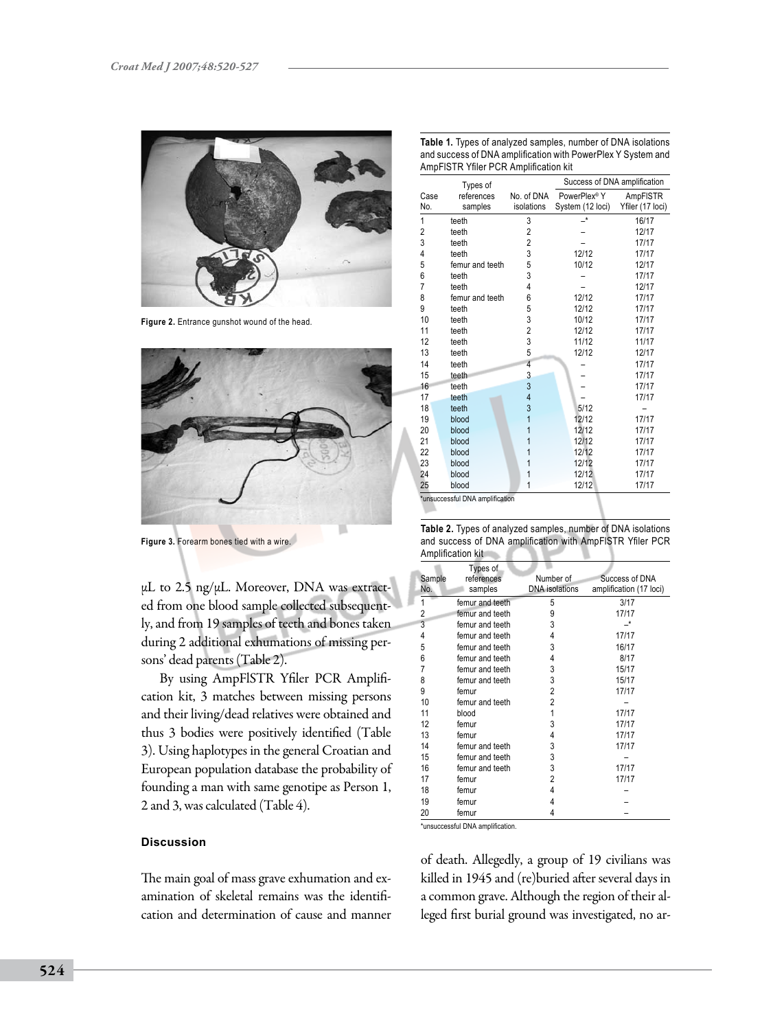

Figure 2. Entrance gunshot wound of the head.



**Figure 3.** Forearm bones tied with a wire.

μL to 2.5 ng/μL. Moreover, DNA was extracted from one blood sample collected subsequently, and from 19 samples of teeth and bones taken during 2 additional exhumations of missing persons' dead parents (Table 2).

By using AmpFlSTR Yfiler PCR Amplification kit, 3 matches between missing persons and their living/dead relatives were obtained and thus 3 bodies were positively identified (Table 3). Using haplotypes in the general Croatian and European population database the probability of founding a man with same genotipe as Person 1, 2 and 3, was calculated (Table 4).

### **Discussion**

The main goal of mass grave exhumation and examination of skeletal remains was the identification and determination of cause and manner

|                | Types of              |                          | Success of DNA amplification                 |                              |  |  |
|----------------|-----------------------|--------------------------|----------------------------------------------|------------------------------|--|--|
| Case<br>No.    | references<br>samples | No. of DNA<br>isolations | PowerPlex <sup>®</sup> Y<br>System (12 loci) | AmpFISTR<br>Yfiler (17 loci) |  |  |
| 1              | teeth                 | 3                        |                                              | 16/17                        |  |  |
| $\overline{2}$ | teeth                 | $\overline{2}$           |                                              | 12/17                        |  |  |
| 3              | teeth                 | $\overline{c}$           |                                              | 17/17                        |  |  |
| 4              | teeth                 | 3                        | 12/12                                        | 17/17                        |  |  |
| 5              | femur and teeth       | 5                        | 10/12                                        | 12/17                        |  |  |
| 6              | teeth                 | 3                        |                                              | 17/17                        |  |  |
| $\overline{7}$ | teeth                 | 4                        |                                              | 12/17                        |  |  |
| 8              | femur and teeth       | 6                        | 12/12                                        | 17/17                        |  |  |
| 9              | teeth                 | 5                        | 12/12                                        | 17/17                        |  |  |
| 10             | teeth                 | 3                        | 10/12                                        | 17/17                        |  |  |
| 11             | teeth                 | $\overline{2}$           | 12/12                                        | 17/17                        |  |  |
| 12             | teeth                 | 3                        | 11/12                                        | 11/17                        |  |  |
| 13             | teeth                 | 5                        | 12/12                                        | 12/17                        |  |  |
| 14             | teeth                 | 4                        |                                              | 17/17                        |  |  |
| 15             | teeth                 | 3                        |                                              | 17/17                        |  |  |
| 16             | teeth                 | 3                        |                                              | 17/17                        |  |  |
| 17             | teeth                 | 4                        |                                              | 17/17                        |  |  |
| 18             | teeth                 | 3                        | 5/12                                         |                              |  |  |
| 19             | blood                 | 1                        | 12/12                                        | 17/17                        |  |  |
| 20             | blood                 | 1                        | 12/12                                        | 17/17                        |  |  |
| 21             | blood                 | 1                        | 12/12                                        | 17/17                        |  |  |
| 22             | blood                 | 1                        | 12/12                                        | 17/17                        |  |  |
| 23             | blood                 | 1                        | 12/12                                        | 17/17                        |  |  |
| 24             | blood                 | 1                        | 12/12                                        | 17/17                        |  |  |
| 25             | blood                 | 1                        | 12/12                                        | 17/17                        |  |  |

**Table 1.** Types of analyzed samples, number of DNA isolations

\*unsuccessful DNA amplification

| Table 2. Types of analyzed samples, number of DNA isolations |
|--------------------------------------------------------------|
| and success of DNA amplification with AmpFISTR Yfiler PCR    |
| Amplification kit                                            |

| $\cdots$ , $\cdots$ |                                   |                                    |                                           |  |  |  |
|---------------------|-----------------------------------|------------------------------------|-------------------------------------------|--|--|--|
| Sample<br>No.       | Types of<br>references<br>samples | Number of<br><b>DNA</b> isolations | Success of DNA<br>amplification (17 loci) |  |  |  |
| 1                   | femur and teeth                   | 5                                  | 3/17                                      |  |  |  |
| 2                   | femur and teeth                   | 9                                  | 17/17                                     |  |  |  |
| 3                   | femur and teeth                   | 3                                  |                                           |  |  |  |
| 4                   | femur and teeth                   | 4                                  | 17/17                                     |  |  |  |
| 5                   | femur and teeth                   | 3                                  | 16/17                                     |  |  |  |
| 6                   | femur and teeth                   | 4                                  | 8/17                                      |  |  |  |
| 7                   | femur and teeth                   | 3                                  | 15/17                                     |  |  |  |
| 8                   | femur and teeth                   | 3                                  | 15/17                                     |  |  |  |
| 9                   | femur                             | $\overline{2}$                     | 17/17                                     |  |  |  |
| 10                  | femur and teeth                   | $\overline{2}$                     |                                           |  |  |  |
| 11                  | blood                             | 1                                  | 17/17                                     |  |  |  |
| 12                  | femur                             | 3                                  | 17/17                                     |  |  |  |
| 13                  | femur                             | 4                                  | 17/17                                     |  |  |  |
| 14                  | femur and teeth                   | 3                                  | 17/17                                     |  |  |  |
| 15                  | femur and teeth                   | 3                                  |                                           |  |  |  |
| 16                  | femur and teeth                   | 3                                  | 17/17                                     |  |  |  |
| 17                  | femur                             | 2                                  | 17/17                                     |  |  |  |
| 18                  | femur                             | 4                                  |                                           |  |  |  |
| 19                  | femur                             | 4                                  |                                           |  |  |  |
| 20                  | femur                             | 4                                  |                                           |  |  |  |

\*unsuccessful DNA amplification.

of death. Allegedly, a group of 19 civilians was killed in 1945 and (re)buried after several days in a common grave. Although the region of their alleged first burial ground was investigated, no ar-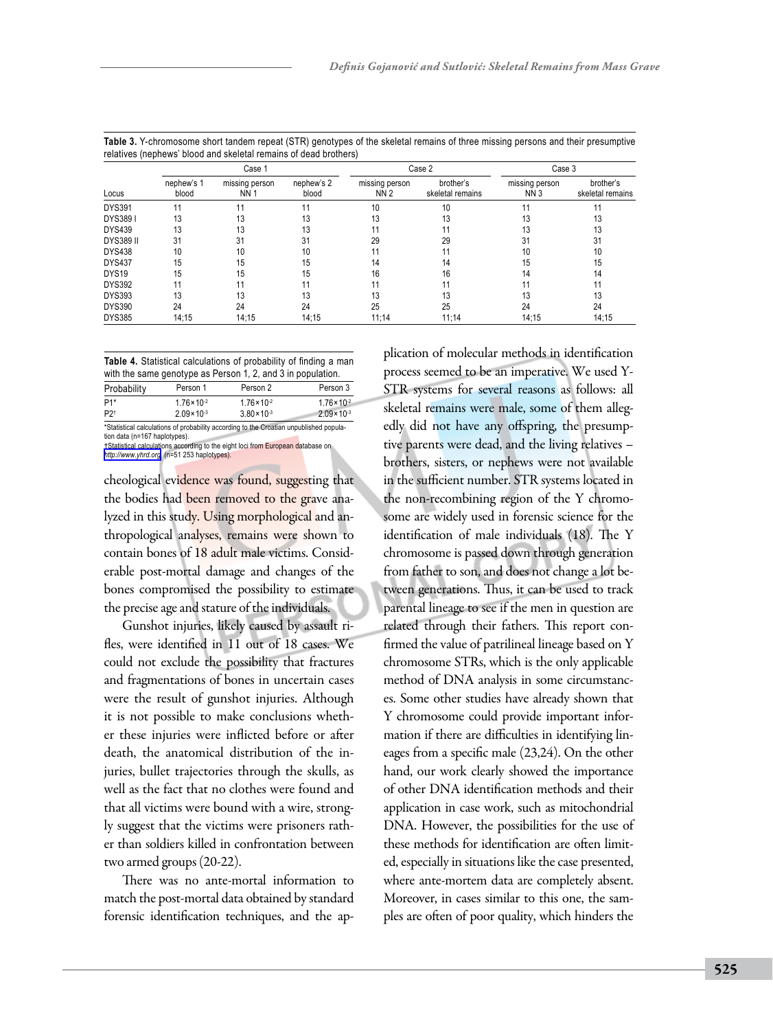|                   | Case 1              |                              |                     | Case 2                       |                               | Case 3                            |                               |
|-------------------|---------------------|------------------------------|---------------------|------------------------------|-------------------------------|-----------------------------------|-------------------------------|
| Locus             | nephew's 1<br>blood | missing person<br><b>NN1</b> | nephew's 2<br>blood | missing person<br><b>NN2</b> | brother's<br>skeletal remains | missing person<br>NN <sub>3</sub> | brother's<br>skeletal remains |
| <b>DYS391</b>     | 11                  | 11                           | 11                  | 10                           | 10                            |                                   |                               |
| DYS3891           | 13                  | 13                           | 13                  | 13                           | 13                            | 13                                | 13                            |
| <b>DYS439</b>     | 13                  | 13                           | 13                  |                              |                               |                                   | 13                            |
| <b>DYS389 II</b>  | 31                  | 31                           | 31                  | 29                           | 29                            | 31                                | 31                            |
| <b>DYS438</b>     | 10                  | 10                           | 10                  | 11                           | 11                            | 10                                | 10                            |
| <b>DYS437</b>     | 15                  | 15                           | 15                  | 14                           | 14                            | 15                                | 15                            |
| DYS <sub>19</sub> | 15                  | 15                           | 15                  | 16                           | 16                            | 14                                | 14                            |
| <b>DYS392</b>     | 11                  |                              | 11                  |                              |                               |                                   |                               |
| <b>DYS393</b>     | 13                  | 13                           | 13                  | 13                           | 13                            | 13                                | 13                            |
| <b>DYS390</b>     | 24                  | 24                           | 24                  | 25                           | 25                            | 24                                | 24                            |
| <b>DYS385</b>     | 14:15               | 14:15                        | 14:15               | 11:14                        | 11:14                         | 14:15                             | 14:15                         |

**Table 3.** Y-chromosome short tandem repeat (STR) genotypes of the skeletal remains of three missing persons and their presumptive relatives (nephews' blood and skeletal remains of dead brothers)

**Table 4.** Statistical calculations of probability of finding a man with the same genotype as Person 1, 2, and 3 in population.

Probability Person 1 Person 2 Person 3  $P1*$  1.76×10<sup>-2</sup> 1.76×10<sup>-2</sup> 1.76×10<sup>-2</sup> 1.76×10<sup>-2</sup><br>P21 2.09×10<sup>-3</sup> 3.80×10<sup>-3</sup> 2.09×10<sup>-3</sup>  $P2^{\dagger}$  2.09×10<sup>-3</sup> 3.80×10<sup>-3</sup> 2.09×10<sup>-3</sup> \*Statistical calculations of probability according to the Croatian unpublished popula-

tion data (n=167 haplotypes). †Statistical calculations according to the eight loci from European database on *<http://www.yhrd.org>* (n=51 253 haplotypes).

cheological evidence was found, suggesting that the bodies had been removed to the grave analyzed in this study. Using morphological and anthropological analyses, remains were shown to contain bones of 18 adult male victims. Considerable post-mortal damage and changes of the bones compromised the possibility to estimate the precise age and stature of the individuals.

Gunshot injuries, likely caused by assault rifles, were identified in 11 out of 18 cases. We could not exclude the possibility that fractures and fragmentations of bones in uncertain cases were the result of gunshot injuries. Although it is not possible to make conclusions whether these injuries were inflicted before or after death, the anatomical distribution of the injuries, bullet trajectories through the skulls, as well as the fact that no clothes were found and that all victims were bound with a wire, strongly suggest that the victims were prisoners rather than soldiers killed in confrontation between two armed groups (20-22).

There was no ante-mortal information to match the post-mortal data obtained by standard forensic identification techniques, and the application of molecular methods in identification process seemed to be an imperative. We used Y-STR systems for several reasons as follows: all skeletal remains were male, some of them allegedly did not have any offspring, the presumptive parents were dead, and the living relatives – brothers, sisters, or nephews were not available in the sufficient number. STR systems located in the non-recombining region of the Y chromosome are widely used in forensic science for the identification of male individuals (18). The Y chromosome is passed down through generation from father to son, and does not change a lot between generations. Thus, it can be used to track parental lineage to see if the men in question are related through their fathers. This report confirmed the value of patrilineal lineage based on Y chromosome STRs, which is the only applicable method of DNA analysis in some circumstances. Some other studies have already shown that Y chromosome could provide important information if there are difficulties in identifying lineages from a specific male (23,24). On the other hand, our work clearly showed the importance of other DNA identification methods and their application in case work, such as mitochondrial DNA. However, the possibilities for the use of these methods for identification are often limited, especially in situations like the case presented, where ante-mortem data are completely absent. Moreover, in cases similar to this one, the samples are often of poor quality, which hinders the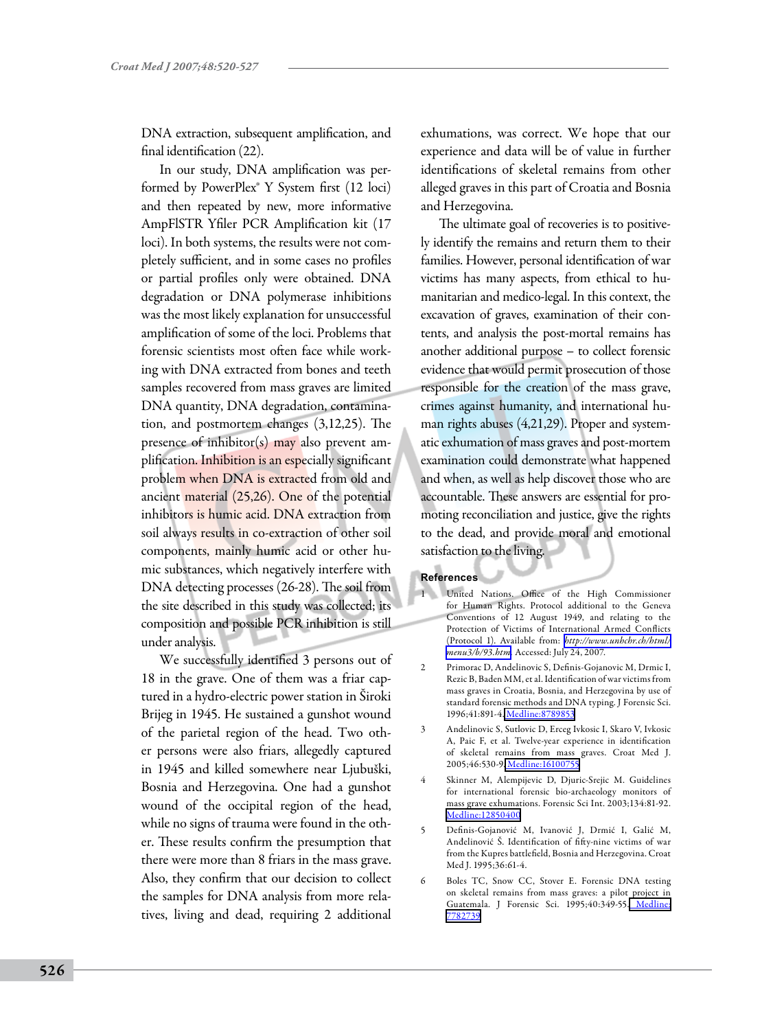DNA extraction, subsequent amplification, and final identification (22).

In our study, DNA amplification was performed by PowerPlex® Y System first (12 loci) and then repeated by new, more informative AmpFlSTR Yfiler PCR Amplification kit (17 loci). In both systems, the results were not completely sufficient, and in some cases no profiles or partial profiles only were obtained. DNA degradation or DNA polymerase inhibitions was the most likely explanation for unsuccessful amplification of some of the loci. Problems that forensic scientists most often face while working with DNA extracted from bones and teeth samples recovered from mass graves are limited DNA quantity, DNA degradation, contamination, and postmortem changes (3,12,25). The presence of inhibitor(s) may also prevent amplification. Inhibition is an especially significant problem when DNA is extracted from old and ancient material (25,26). One of the potential inhibitors is humic acid. DNA extraction from soil always results in co-extraction of other soil components, mainly humic acid or other humic substances, which negatively interfere with DNA detecting processes (26-28). The soil from the site described in this study was collected; its composition and possible PCR inhibition is still under analysis.

We successfully identified 3 persons out of 18 in the grave. One of them was a friar captured in a hydro-electric power station in Široki Brijeg in 1945. He sustained a gunshot wound of the parietal region of the head. Two other persons were also friars, allegedly captured in 1945 and killed somewhere near Ljubuški, Bosnia and Herzegovina. One had a gunshot wound of the occipital region of the head, while no signs of trauma were found in the other. These results confirm the presumption that there were more than 8 friars in the mass grave. Also, they confirm that our decision to collect the samples for DNA analysis from more relatives, living and dead, requiring 2 additional

exhumations, was correct. We hope that our experience and data will be of value in further identifications of skeletal remains from other alleged graves in this part of Croatia and Bosnia and Herzegovina.

The ultimate goal of recoveries is to positively identify the remains and return them to their families. However, personal identification of war victims has many aspects, from ethical to humanitarian and medico-legal. In this context, the excavation of graves, examination of their contents, and analysis the post-mortal remains has another additional purpose – to collect forensic evidence that would permit prosecution of those responsible for the creation of the mass grave, crimes against humanity, and international human rights abuses (4,21,29). Proper and systematic exhumation of mass graves and post-mortem examination could demonstrate what happened and when, as well as help discover those who are accountable. These answers are essential for promoting reconciliation and justice, give the rights to the dead, and provide moral and emotional satisfaction to the living.

#### **References**

- United Nations. Office of the High Commissioner for Human Rights. Protocol additional to the Geneva Conventions of 12 August 1949, and relating to the Protection of Victims of International Armed Conflicts (Protocol 1). Available from: *[http://www.unhchr.ch/html/](http://www.unhchr.ch/html/menu3/b/93.htm) [menu3/b/93.htm.](http://www.unhchr.ch/html/menu3/b/93.htm)* Accessed: July 24, 2007.
- 2 Primorac D, Andelinovic S, Definis-Gojanovic M, Drmic I, Rezic B, Baden MM, et al. Identification of war victims from mass graves in Croatia, Bosnia, and Herzegovina by use of standard forensic methods and DNA typing. J Forensic Sci. 1996;41:891-4. [Medline:8789853](http://www.ncbi.nlm.nih.gov/sites/entrez?cmd=Retrieve&db=PubMed&list_uids=8789853&dopt=Abstrac)
- 3 Andelinovic S, Sutlovic D, Erceg Ivkosic I, Skaro V, Ivkosic A, Paic F, et al. Twelve-year experience in identification of skeletal remains from mass graves. Croat Med J. 2005;46:530-9. [Medline:16100755](http://www.ncbi.nlm.nih.gov/sites/entrez?cmd=Retrieve&db=PubMed&list_uids=16100755&dopt=Abstrac)
- 4 Skinner M, Alempijevic D, Djuric-Srejic M. Guidelines for international forensic bio-archaeology monitors of mass grave exhumations. Forensic Sci Int. 2003;134:81-92. [Medline:12850400](http://www.ncbi.nlm.nih.gov/sites/entrez?cmd=Retrieve&db=PubMed&list_uids=12850400&dopt=Abstrac)
- 5 Definis-Gojanović M, Ivanović J, Drmić I, Galić M, Anđelinović Š. Identification of fifty-nine victims of war from the Kupres battlefield, Bosnia and Herzegovina. Croat Med J. 1995;36:61-4.
- 6 Boles TC, Snow CC, Stover E. Forensic DNA testing on skeletal remains from mass graves: a pilot project in Guatemala. J Forensic Sci. 1995;40:349-55. [Medline:](http://www.ncbi.nlm.nih.gov/sites/entrez?cmd=Retrieve&db=PubMed&list_uids=7782739&dopt=Abstrac) [7782739](http://www.ncbi.nlm.nih.gov/sites/entrez?cmd=Retrieve&db=PubMed&list_uids=7782739&dopt=Abstrac)